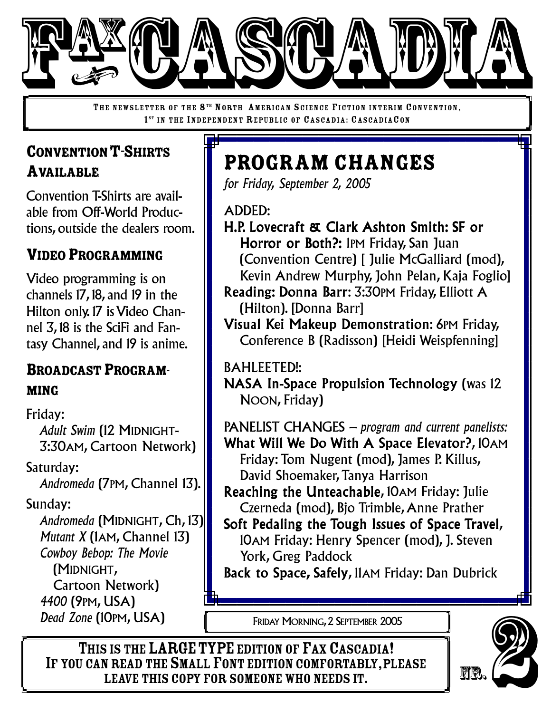

THE NEWSLETTER OF THE 8<sup>TH</sup> NORTH AMERICAN SCIENCE FICTION INTERIM CONVENTION, 1<sup>ST</sup> IN THE INDEPENDENT REPUBLIC OF CASCADIA: CASCADIACON

# CONVENTION T-SHIRTS AVAILABLE

Convention T-Shirts are available from Off-World Productions, outside the dealers room.

## VIDEO PROGRAMMING

Video programming is on channels 17, 18, and 19 in the Hilton only. 17 is Video Channel 3, 18 is the SciFi and Fantasy Channel, and 19 is anime.

#### BROADCAST PROGRAM-MING

Friday: *Adult Swim* (12 MIDNIGHT-3:30AM, Cartoon Network)

Saturday: *Andromeda* (7PM, Channel 13).

Sunday:

*Andromeda* (MIDNIGHT, Ch, 13) *Mutant X* (1AM, Channel 13) *Cowboy Bebop: The Movie* (MIDNIGHT, Cartoon Network) *4400* (9PM, USA) *Dead Zone* (10PM, USA)

# Program Changes

*for Friday, September 2, 2005*

ADDED:

- H.P. Lovecraft & Clark Ashton Smith: SF or Horror or Both?: 1PM Friday, San Juan (Convention Centre) [ Julie McGalliard (mod), Kevin Andrew Murphy, John Pelan, Kaja Foglio]
- Reading: Donna Barr: 3:30PM Friday, Elliott A (Hilton). [Donna Barr]
- Visual Kei Makeup Demonstration: 6PM Friday, Conference B (Radisson) [Heidi Weispfenning]

BAHLEETED!:

NASA In-Space Propulsion Technology (was 12 NOON, Friday)

PANELIST CHANGES *– program and current panelists:* What Will We Do With A Space Elevator?, 10AM

- Friday: Tom Nugent (mod), James P. Killus, David Shoemaker,Tanya Harrison
- Reaching the Unteachable, 10AM Friday: Julie Czerneda (mod), Bjo Trimble,Anne Prather
- Soft Pedaling the Tough Issues of Space Travel, 10AM Friday: Henry Spencer (mod), J. Steven York, Greg Paddock

Back to Space, Safely, 11AM Friday: Dan Dubrick

FRIDAY MORNING,2 SEPTEMBER 2005

THIS IS THE LARGE TYPE EDITION OF FAX CASCADIA! IF YOU CAN READ THE SMALL FONT EDITION COMFORTABLY, PLEASE<br>LEAVE THIS COPY FOR SOMEONE WHO NEEDS IT. OPM, USA) FRIDAY MORNING, 2 SEPTEMBER 2005<br>
SIS THE LARGE TYPE EDITION OF FAX CASCADIA!<br>
NREAD THE SMALL FONT EDITION COMFORTABLY, PLEASE<br>
LEAVE THIS COPY FOR SOMEONE WHO NEEDS IT.

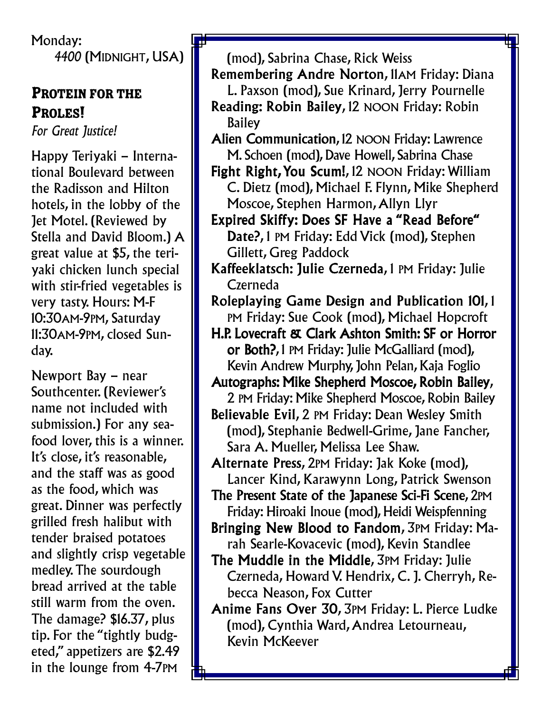Monday: *4400* (MIDNIGHT, USA)

#### PROTEIN FOR THE PROLES!

*For Great Justice!*

Happy Teriyaki – International Boulevard between the Radisson and Hilton hotels, in the lobby of the Jet Motel. (Reviewed by Stella and David Bloom.) A great value at \$5, the teriyaki chicken lunch special with stir-fried vegetables is very tasty. Hours: M-F 10:30AM-9PM, Saturday 11:30AM-9PM, closed Sunday.

Newport Bay – near Southcenter. (Reviewer's name not included with submission.) For any seafood lover, this is a winner. It's close, it's reasonable, and the staff was as good as the food, which was great. Dinner was perfectly grilled fresh halibut with tender braised potatoes and slightly crisp vegetable medley.The sourdough bread arrived at the table still warm from the oven. The damage? \$16.37, plus tip. For the "tightly budgeted," appetizers are \$2.49 in the lounge from 4-7PM

(mod), Sabrina Chase, Rick Weiss

- Remembering Andre Norton, 11AM Friday: Diana L. Paxson (mod), Sue Krinard, Jerry Pournelle Reading: Robin Bailey, 12 NOON Friday: Robin Bailey
- Alien Communication, 12 NOON Friday: Lawrence M. Schoen (mod), Dave Howell, Sabrina Chase
- Fight Right,You Scum!, 12 NOON Friday: William C. Dietz (mod), Michael F. Flynn, Mike Shepherd Moscoe, Stephen Harmon,Allyn Llyr
- Expired Skiffy: Does SF Have a "Read Before" Date?, 1 PM Friday: Edd Vick (mod), Stephen Gillett, Greg Paddock
- Kaffeeklatsch: Julie Czerneda, 1 PM Friday: Julie Czerneda
- Roleplaying Game Design and Publication 101, 1 PM Friday: Sue Cook (mod), Michael Hopcroft
- H.P. Lovecraft & Clark Ashton Smith: SF or Horror or Both?, 1 PM Friday: Julie McGalliard (mod), Kevin Andrew Murphy, John Pelan, Kaja Foglio
- Autographs: Mike Shepherd Moscoe, Robin Bailey, 2 PM Friday: Mike Shepherd Moscoe, Robin Bailey
- Believable Evil, 2 PM Friday: Dean Wesley Smith (mod), Stephanie Bedwell-Grime, Jane Fancher, Sara A. Mueller, Melissa Lee Shaw.
- Alternate Press, 2PM Friday: Jak Koke (mod), Lancer Kind, Karawynn Long, Patrick Swenson
- The Present State of the Japanese Sci-Fi Scene, 2PM Friday: Hiroaki Inoue (mod), Heidi Weispfenning
- Bringing New Blood to Fandom, 3PM Friday: Marah Searle-Kovacevic (mod), Kevin Standlee
- The Muddle in the Middle, 3PM Friday: Julie Czerneda, Howard V. Hendrix, C. J. Cherryh, Rebecca Neason, Fox Cutter
- Anime Fans Over 30, 3PM Friday: L. Pierce Ludke (mod), Cynthia Ward,Andrea Letourneau, Kevin McKeever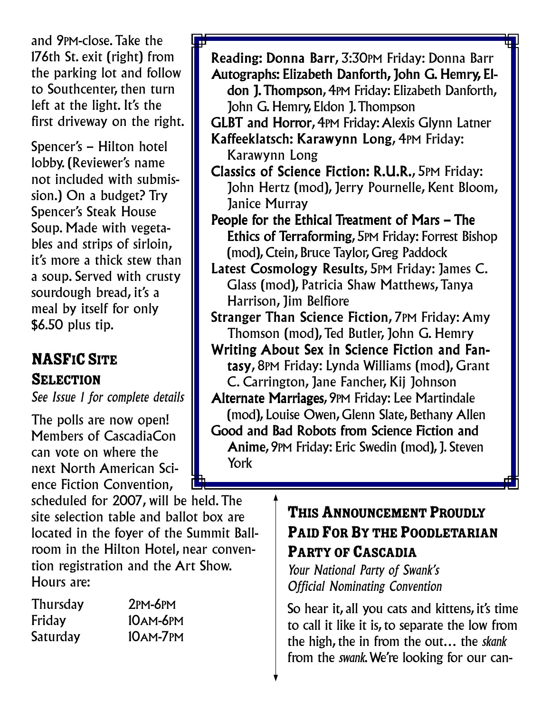and 9PM-close.Take the 176th St. exit (right) from the parking lot and follow to Southcenter, then turn left at the light. It's the first driveway on the right.

Spencer's – Hilton hotel lobby. (Reviewer's name not included with submission.) On a budget? Try Spencer's Steak House Soup. Made with vegetables and strips of sirloin, it's more a thick stew than a soup. Served with crusty sourdough bread, it's a meal by itself for only \$6.50 plus tip.

## **NASFIC SITE SELECTION**

*See Issue 1 for complete details*

The polls are now open! Members of CascadiaCon can vote on where the next North American Science Fiction Convention,

scheduled for 2007, will be held.The site selection table and ballot box are located in the foyer of the Summit Ballroom in the Hilton Hotel, near convention registration and the Art Show. Hours are:

| <b>Thursday</b> | $2PM-6PM$       |
|-----------------|-----------------|
| Friday          | <b>10AM-6PM</b> |
| Saturday        | 10AM-7PM        |

Autographs: Elizabeth Danforth, John G. Hemry, Eldon J.Thompson, 4PM Friday: Elizabeth Danforth, John G. Hemry, Eldon J.Thompson GLBT and Horror, 4PM Friday:Alexis Glynn Latner Kaffeeklatsch: Karawynn Long, 4PM Friday: Karawynn Long Classics of Science Fiction: R.U.R., 5PM Friday: John Hertz (mod), Jerry Pournelle, Kent Bloom, Janice Murray People for the Ethical Treatment of Mars – The Ethics of Terraforming, 5PM Friday: Forrest Bishop (mod), Ctein, Bruce Taylor, Greg Paddock Latest Cosmology Results, 5PM Friday: James C. Glass (mod), Patricia Shaw Matthews,Tanya Harrison, Jim Belfiore

Reading: Donna Barr, 3:30PM Friday: Donna Barr

Stranger Than Science Fiction, 7PM Friday: Amy Thomson (mod), Ted Butler, John G. Hemry

Writing About Sex in Science Fiction and Fantasy, 8PM Friday: Lynda Williams (mod), Grant C. Carrington, Jane Fancher, Kij Johnson

Alternate Marriages, 9PM Friday: Lee Martindale (mod), Louise Owen, Glenn Slate, Bethany Allen Good and Bad Robots from Science Fiction and Anime, 9PM Friday: Eric Swedin (mod), J. Steven York

#### THIS ANNOUNCEMENT PROUDLY PAID FOR BY THE POODLETARIAN PARTY OF CASCADIA

*Your National Party of Swank's Official Nominating Convention*

So hear it, all you cats and kittens, it's time to call it like it is, to separate the low from the high, the in from the out… the *skank* from the *swank*.We're looking for our can-